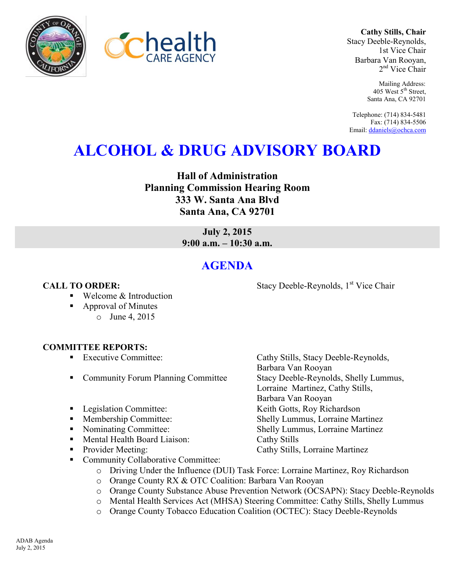



**Cathy Stills, Chair** Stacy Deeble-Reynolds, 1st Vice Chair Barbara Van Rooyan, 2<sup>nd</sup> Vice Chair

> Mailing Address: 405 West 5<sup>th</sup> Street, Santa Ana, CA 92701

Telephone: (714) 834-5481 Fax: (714) 834-5506 Email[: ddaniels@ochca.com](mailto:ddaniels@ochca.com)

# **ALCOHOL & DRUG ADVISORY BOARD**

**Hall of Administration Planning Commission Hearing Room 333 W. Santa Ana Blvd Santa Ana, CA 92701** 

> **July 2, 2015 9:00 a.m. – 10:30 a.m.**

## **AGENDA**

Welcome & Introduction

- Approval of Minutes
	- o June 4, 2015

### **COMMITTEE REPORTS:**

- Executive Committee: Cathy Stills, Stacy Deeble-Reynolds,
- Community Forum Planning Committee Stacy Deeble-Reynolds, Shelly Lummus,
- Legislation Committee: Keith Gotts, Roy Richardson
- Membership Committee: Shelly Lummus, Lorraine Martinez
- Nominating Committee: Shelly Lummus, Lorraine Martinez
- Mental Health Board Liaison: Cathy Stills
- Provider Meeting: Cathy Stills, Lorraine Martinez
- Community Collaborative Committee:
	- o Driving Under the Influence (DUI) Task Force: Lorraine Martinez, Roy Richardson
	- o Orange County RX & OTC Coalition: Barbara Van Rooyan
	- o Orange County Substance Abuse Prevention Network (OCSAPN): Stacy Deeble-Reynolds
	- o Mental Health Services Act (MHSA) Steering Committee: Cathy Stills, Shelly Lummus
	- o Orange County Tobacco Education Coalition (OCTEC): Stacy Deeble-Reynolds

ADAB Agenda July 2, 2015

**CALL TO ORDER:** Stacy Deeble-Reynolds, 1<sup>st</sup> Vice Chair

Barbara Van Rooyan

Barbara Van Rooyan

Lorraine Martinez, Cathy Stills,